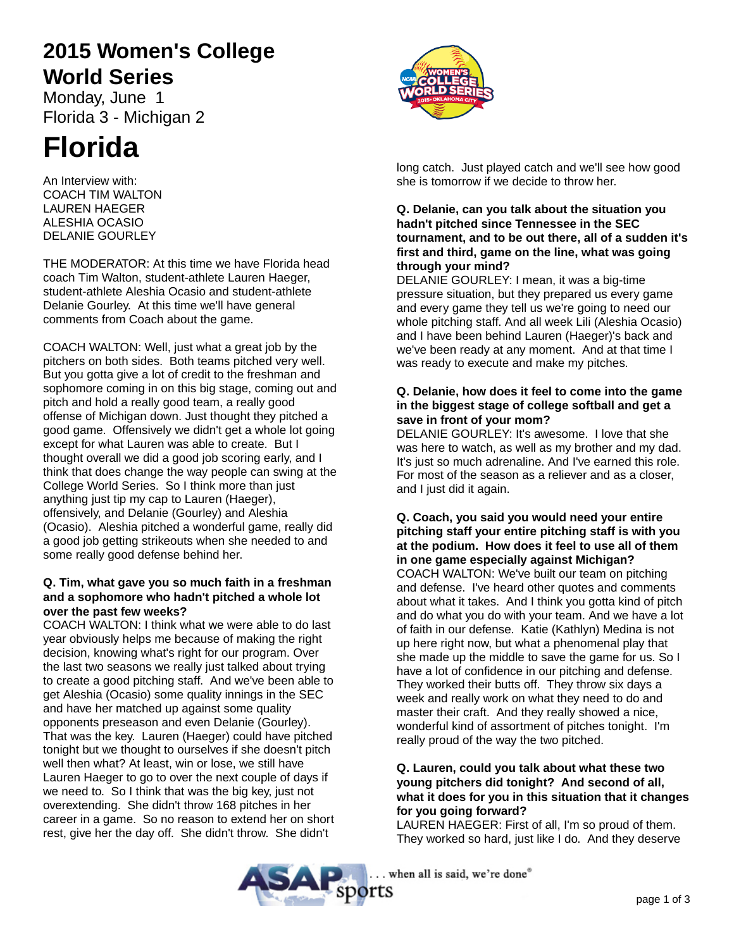# **2015 Women's College World Series**

Monday, June 1 Florida 3 - Michigan 2

# **Florida**

An Interview with: COACH TIM WALTON LAUREN HAEGER ALESHIA OCASIO DELANIE GOURLEY

THE MODERATOR: At this time we have Florida head coach Tim Walton, student-athlete Lauren Haeger, student-athlete Aleshia Ocasio and student-athlete Delanie Gourley. At this time we'll have general comments from Coach about the game.

COACH WALTON: Well, just what a great job by the pitchers on both sides. Both teams pitched very well. But you gotta give a lot of credit to the freshman and sophomore coming in on this big stage, coming out and pitch and hold a really good team, a really good offense of Michigan down. Just thought they pitched a good game. Offensively we didn't get a whole lot going except for what Lauren was able to create. But I thought overall we did a good job scoring early, and I think that does change the way people can swing at the College World Series. So I think more than just anything just tip my cap to Lauren (Haeger), offensively, and Delanie (Gourley) and Aleshia (Ocasio). Aleshia pitched a wonderful game, really did a good job getting strikeouts when she needed to and some really good defense behind her.

# **Q. Tim, what gave you so much faith in a freshman and a sophomore who hadn't pitched a whole lot over the past few weeks?**

COACH WALTON: I think what we were able to do last year obviously helps me because of making the right decision, knowing what's right for our program. Over the last two seasons we really just talked about trying to create a good pitching staff. And we've been able to get Aleshia (Ocasio) some quality innings in the SEC and have her matched up against some quality opponents preseason and even Delanie (Gourley). That was the key. Lauren (Haeger) could have pitched tonight but we thought to ourselves if she doesn't pitch well then what? At least, win or lose, we still have Lauren Haeger to go to over the next couple of days if we need to. So I think that was the big key, just not overextending. She didn't throw 168 pitches in her career in a game. So no reason to extend her on short rest, give her the day off. She didn't throw. She didn't



long catch. Just played catch and we'll see how good she is tomorrow if we decide to throw her.

#### **Q. Delanie, can you talk about the situation you hadn't pitched since Tennessee in the SEC tournament, and to be out there, all of a sudden it's first and third, game on the line, what was going through your mind?**

DELANIE GOURLEY: I mean, it was a big-time pressure situation, but they prepared us every game and every game they tell us we're going to need our whole pitching staff. And all week Lili (Aleshia Ocasio) and I have been behind Lauren (Haeger)'s back and we've been ready at any moment. And at that time I was ready to execute and make my pitches.

## **Q. Delanie, how does it feel to come into the game in the biggest stage of college softball and get a save in front of your mom?**

DELANIE GOURLEY: It's awesome. I love that she was here to watch, as well as my brother and my dad. It's just so much adrenaline. And I've earned this role. For most of the season as a reliever and as a closer, and I just did it again.

#### **Q. Coach, you said you would need your entire pitching staff your entire pitching staff is with you at the podium. How does it feel to use all of them in one game especially against Michigan?**

COACH WALTON: We've built our team on pitching and defense. I've heard other quotes and comments about what it takes. And I think you gotta kind of pitch and do what you do with your team. And we have a lot of faith in our defense. Katie (Kathlyn) Medina is not up here right now, but what a phenomenal play that she made up the middle to save the game for us. So I have a lot of confidence in our pitching and defense. They worked their butts off. They throw six days a week and really work on what they need to do and master their craft. And they really showed a nice, wonderful kind of assortment of pitches tonight. I'm really proud of the way the two pitched.

# **Q. Lauren, could you talk about what these two young pitchers did tonight? And second of all, what it does for you in this situation that it changes for you going forward?**

LAUREN HAEGER: First of all, I'm so proud of them. They worked so hard, just like I do. And they deserve

. when all is said, we're done® **SAP** sports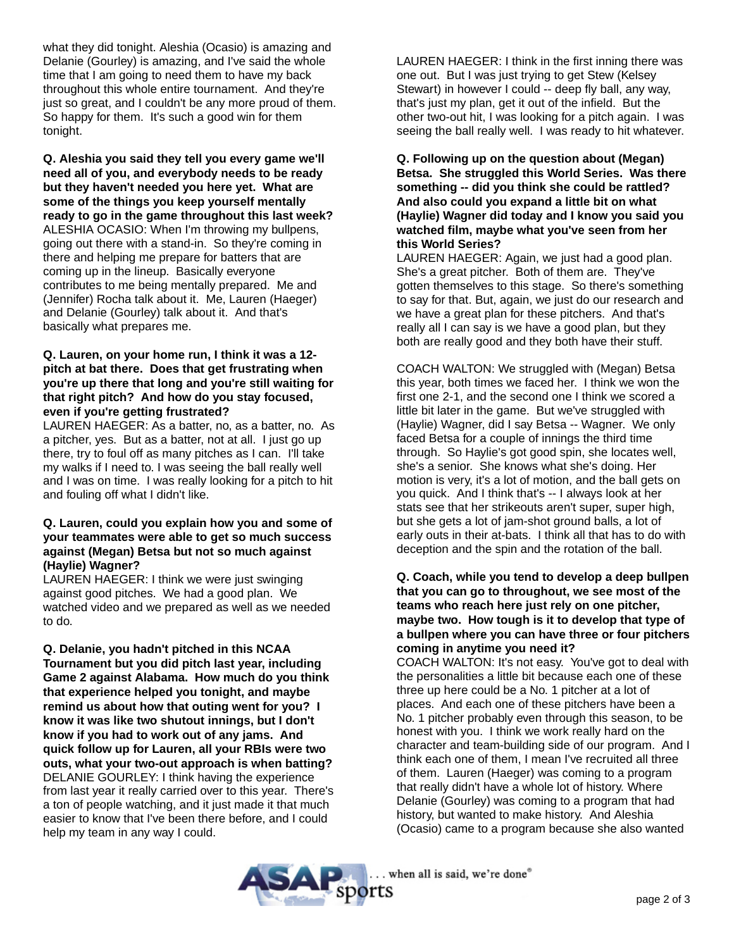what they did tonight. Aleshia (Ocasio) is amazing and Delanie (Gourley) is amazing, and I've said the whole time that I am going to need them to have my back throughout this whole entire tournament. And they're just so great, and I couldn't be any more proud of them. So happy for them. It's such a good win for them tonight.

**Q. Aleshia you said they tell you every game we'll need all of you, and everybody needs to be ready but they haven't needed you here yet. What are some of the things you keep yourself mentally ready to go in the game throughout this last week?** ALESHIA OCASIO: When I'm throwing my bullpens, going out there with a stand-in. So they're coming in there and helping me prepare for batters that are coming up in the lineup. Basically everyone contributes to me being mentally prepared. Me and (Jennifer) Rocha talk about it. Me, Lauren (Haeger) and Delanie (Gourley) talk about it. And that's basically what prepares me.

### **Q. Lauren, on your home run, I think it was a 12 pitch at bat there. Does that get frustrating when you're up there that long and you're still waiting for that right pitch? And how do you stay focused, even if you're getting frustrated?**

LAUREN HAEGER: As a batter, no, as a batter, no. As a pitcher, yes. But as a batter, not at all. I just go up there, try to foul off as many pitches as I can. I'll take my walks if I need to. I was seeing the ball really well and I was on time. I was really looking for a pitch to hit and fouling off what I didn't like.

#### **Q. Lauren, could you explain how you and some of your teammates were able to get so much success against (Megan) Betsa but not so much against (Haylie) Wagner?**

LAUREN HAEGER: I think we were just swinging against good pitches. We had a good plan. We watched video and we prepared as well as we needed to do.

**Q. Delanie, you hadn't pitched in this NCAA Tournament but you did pitch last year, including Game 2 against Alabama. How much do you think that experience helped you tonight, and maybe remind us about how that outing went for you? I know it was like two shutout innings, but I don't know if you had to work out of any jams. And quick follow up for Lauren, all your RBIs were two outs, what your two-out approach is when batting?** DELANIE GOURLEY: I think having the experience from last year it really carried over to this year. There's a ton of people watching, and it just made it that much easier to know that I've been there before, and I could help my team in any way I could.

LAUREN HAEGER: I think in the first inning there was one out. But I was just trying to get Stew (Kelsey Stewart) in however I could -- deep fly ball, any way, that's just my plan, get it out of the infield. But the other two-out hit, I was looking for a pitch again. I was seeing the ball really well. I was ready to hit whatever.

**Q. Following up on the question about (Megan) Betsa. She struggled this World Series. Was there something -- did you think she could be rattled? And also could you expand a little bit on what (Haylie) Wagner did today and I know you said you watched film, maybe what you've seen from her this World Series?**

LAUREN HAEGER: Again, we just had a good plan. She's a great pitcher. Both of them are. They've gotten themselves to this stage. So there's something to say for that. But, again, we just do our research and we have a great plan for these pitchers. And that's really all I can say is we have a good plan, but they both are really good and they both have their stuff.

COACH WALTON: We struggled with (Megan) Betsa this year, both times we faced her. I think we won the first one 2-1, and the second one I think we scored a little bit later in the game. But we've struggled with (Haylie) Wagner, did I say Betsa -- Wagner. We only faced Betsa for a couple of innings the third time through. So Haylie's got good spin, she locates well, she's a senior. She knows what she's doing. Her motion is very, it's a lot of motion, and the ball gets on you quick. And I think that's -- I always look at her stats see that her strikeouts aren't super, super high, but she gets a lot of jam-shot ground balls, a lot of early outs in their at-bats. I think all that has to do with deception and the spin and the rotation of the ball.

#### **Q. Coach, while you tend to develop a deep bullpen that you can go to throughout, we see most of the teams who reach here just rely on one pitcher, maybe two. How tough is it to develop that type of a bullpen where you can have three or four pitchers coming in anytime you need it?**

COACH WALTON: It's not easy. You've got to deal with the personalities a little bit because each one of these three up here could be a No. 1 pitcher at a lot of places. And each one of these pitchers have been a No. 1 pitcher probably even through this season, to be honest with you. I think we work really hard on the character and team-building side of our program. And I think each one of them, I mean I've recruited all three of them. Lauren (Haeger) was coming to a program that really didn't have a whole lot of history. Where Delanie (Gourley) was coming to a program that had history, but wanted to make history. And Aleshia (Ocasio) came to a program because she also wanted